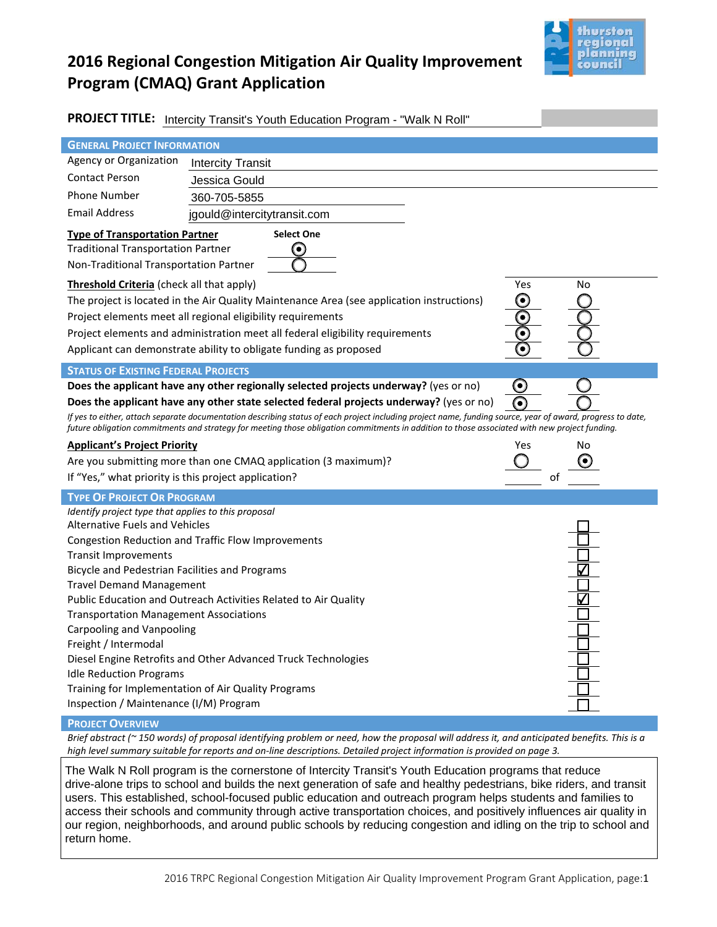

# **2016 Regional Congestion Mitigation Air Quality Improvement Program (CMAQ) Grant Application**

| PROJECT TITLE: Intercity Transit's Youth Education Program - "Walk N Roll"                                                                                                                                                                                                                                                                                                                                                                                                                                                                                                                                                                                                                                  |                                                                                                                                                                                               |  |  |  |  |  |
|-------------------------------------------------------------------------------------------------------------------------------------------------------------------------------------------------------------------------------------------------------------------------------------------------------------------------------------------------------------------------------------------------------------------------------------------------------------------------------------------------------------------------------------------------------------------------------------------------------------------------------------------------------------------------------------------------------------|-----------------------------------------------------------------------------------------------------------------------------------------------------------------------------------------------|--|--|--|--|--|
| <b>GENERAL PROJECT INFORMATION</b>                                                                                                                                                                                                                                                                                                                                                                                                                                                                                                                                                                                                                                                                          |                                                                                                                                                                                               |  |  |  |  |  |
| Agency or Organization                                                                                                                                                                                                                                                                                                                                                                                                                                                                                                                                                                                                                                                                                      | <b>Intercity Transit</b>                                                                                                                                                                      |  |  |  |  |  |
| <b>Contact Person</b>                                                                                                                                                                                                                                                                                                                                                                                                                                                                                                                                                                                                                                                                                       | Jessica Gould                                                                                                                                                                                 |  |  |  |  |  |
| <b>Phone Number</b>                                                                                                                                                                                                                                                                                                                                                                                                                                                                                                                                                                                                                                                                                         | 360-705-5855                                                                                                                                                                                  |  |  |  |  |  |
| <b>Email Address</b>                                                                                                                                                                                                                                                                                                                                                                                                                                                                                                                                                                                                                                                                                        | jgould@intercitytransit.com                                                                                                                                                                   |  |  |  |  |  |
| <b>Select One</b><br><b>Type of Transportation Partner</b><br><b>Traditional Transportation Partner</b><br>٠<br>Non-Traditional Transportation Partner                                                                                                                                                                                                                                                                                                                                                                                                                                                                                                                                                      |                                                                                                                                                                                               |  |  |  |  |  |
| Threshold Criteria (check all that apply)<br>Yes<br>No<br>The project is located in the Air Quality Maintenance Area (see application instructions)<br>$\bullet$<br>Project elements meet all regional eligibility requirements<br>٠<br>Project elements and administration meet all federal eligibility requirements<br>Applicant can demonstrate ability to obligate funding as proposed<br>٠                                                                                                                                                                                                                                                                                                             |                                                                                                                                                                                               |  |  |  |  |  |
| <b>STATUS OF EXISTING FEDERAL PROJECTS</b>                                                                                                                                                                                                                                                                                                                                                                                                                                                                                                                                                                                                                                                                  |                                                                                                                                                                                               |  |  |  |  |  |
| $\mathbf \Theta$<br>Does the applicant have any other regionally selected projects underway? (yes or no)<br>∩<br>Does the applicant have any other state selected federal projects underway? (yes or no)<br>If yes to either, attach separate documentation describing status of each project including project name, funding source, year of award, progress to date,<br>future obligation commitments and strategy for meeting those obligation commitments in addition to those associated with new project funding.<br><b>Applicant's Project Priority</b><br>Yes<br>No<br>Are you submitting more than one CMAQ application (3 maximum)?<br>If "Yes," what priority is this project application?<br>of |                                                                                                                                                                                               |  |  |  |  |  |
| <b>TYPE OF PROJECT OR PROGRAM</b>                                                                                                                                                                                                                                                                                                                                                                                                                                                                                                                                                                                                                                                                           |                                                                                                                                                                                               |  |  |  |  |  |
| Identify project type that applies to this proposal<br><b>Alternative Fuels and Vehicles</b><br><b>Transit Improvements</b><br>Bicycle and Pedestrian Facilities and Programs<br><b>Travel Demand Management</b><br><b>Transportation Management Associations</b><br>Carpooling and Vanpooling<br>Freight / Intermodal<br><b>Idle Reduction Programs</b><br>Training for Implementation of Air Quality Programs                                                                                                                                                                                                                                                                                             | <b>Congestion Reduction and Traffic Flow Improvements</b><br>Public Education and Outreach Activities Related to Air Quality<br>Diesel Engine Retrofits and Other Advanced Truck Technologies |  |  |  |  |  |

#### **PROJECT OVERVIEW**

*Brief abstract (~ 150 words) of proposal identifying problem or need, how the proposal will address it, and anticipated benefits. This is a high level summary suitable for reports and on-line descriptions. Detailed project information is provided on page 3.*

The Walk N Roll program is the cornerstone of Intercity Transit's Youth Education programs that reduce drive-alone trips to school and builds the next generation of safe and healthy pedestrians, bike riders, and transit users. This established, school-focused public education and outreach program helps students and families to access their schools and community through active transportation choices, and positively influences air quality in our region, neighborhoods, and around public schools by reducing congestion and idling on the trip to school and return home.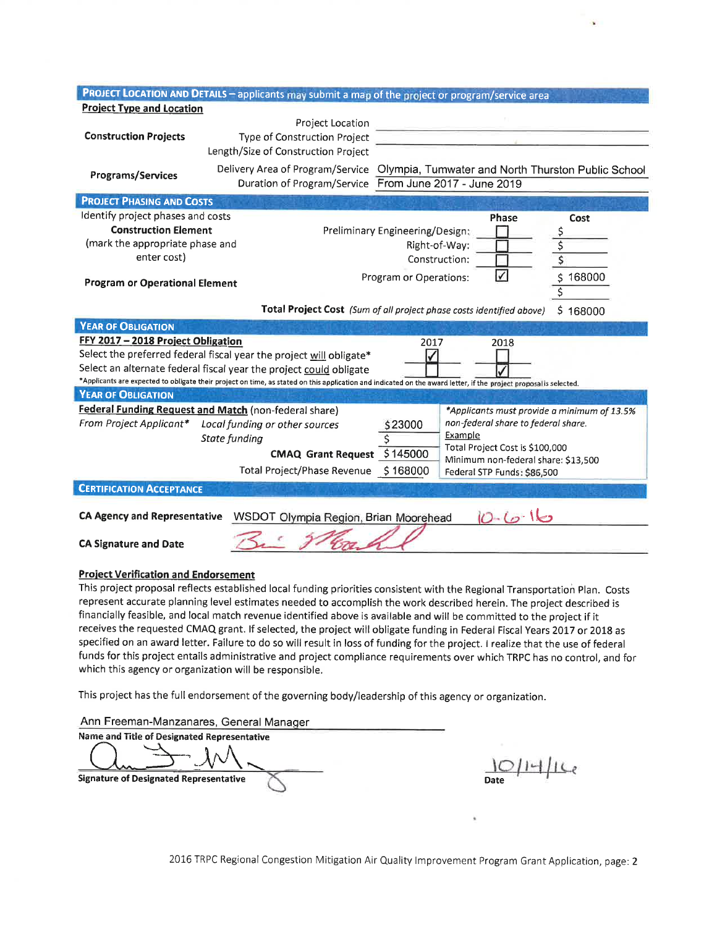|                                                                                                                                                                                                                                         |                                                                                                                        | PROJECT LOCATION AND DETAILS - applicants may submit a map of the project or program/service area |          |  |  |  |
|-----------------------------------------------------------------------------------------------------------------------------------------------------------------------------------------------------------------------------------------|------------------------------------------------------------------------------------------------------------------------|---------------------------------------------------------------------------------------------------|----------|--|--|--|
| <b>Project Type and Location</b>                                                                                                                                                                                                        |                                                                                                                        |                                                                                                   |          |  |  |  |
|                                                                                                                                                                                                                                         | Project Location                                                                                                       |                                                                                                   |          |  |  |  |
| <b>Construction Projects</b>                                                                                                                                                                                                            | Type of Construction Project                                                                                           |                                                                                                   |          |  |  |  |
|                                                                                                                                                                                                                                         | Length/Size of Construction Project                                                                                    |                                                                                                   |          |  |  |  |
|                                                                                                                                                                                                                                         |                                                                                                                        | Delivery Area of Program/Service Olympia, Tumwater and North Thurston Public School               |          |  |  |  |
| Programs/Services                                                                                                                                                                                                                       |                                                                                                                        | Duration of Program/Service From June 2017 - June 2019                                            |          |  |  |  |
| <b>PROJECT PHASING AND COSTS</b>                                                                                                                                                                                                        |                                                                                                                        |                                                                                                   |          |  |  |  |
| Identify project phases and costs                                                                                                                                                                                                       |                                                                                                                        | <b>Phase</b>                                                                                      | Cost     |  |  |  |
| <b>Construction Element</b>                                                                                                                                                                                                             |                                                                                                                        | Preliminary Engineering/Design:                                                                   | \$       |  |  |  |
|                                                                                                                                                                                                                                         | (mark the appropriate phase and<br>Right-of-Way:                                                                       |                                                                                                   | \$       |  |  |  |
| enter cost)                                                                                                                                                                                                                             |                                                                                                                        | \$<br>Construction:                                                                               |          |  |  |  |
| ✓<br>Program or Operations:<br><b>Program or Operational Element</b>                                                                                                                                                                    |                                                                                                                        | \$168000                                                                                          |          |  |  |  |
|                                                                                                                                                                                                                                         |                                                                                                                        | \$                                                                                                |          |  |  |  |
|                                                                                                                                                                                                                                         |                                                                                                                        |                                                                                                   |          |  |  |  |
|                                                                                                                                                                                                                                         |                                                                                                                        | Total Project Cost (Sum of all project phase costs identified above)                              | \$168000 |  |  |  |
| <b>YEAR OF OBLIGATION</b>                                                                                                                                                                                                               |                                                                                                                        |                                                                                                   |          |  |  |  |
| FFY 2017 - 2018 Project Obligation                                                                                                                                                                                                      |                                                                                                                        | 2017<br>2018                                                                                      |          |  |  |  |
| Select the preferred federal fiscal year the project will obligate*                                                                                                                                                                     |                                                                                                                        |                                                                                                   |          |  |  |  |
| Select an alternate federal fiscal year the project could obligate<br>*Applicants are expected to obligate their project on time, as stated on this application and indicated on the award letter, if the project proposal is selected. |                                                                                                                        |                                                                                                   |          |  |  |  |
|                                                                                                                                                                                                                                         |                                                                                                                        |                                                                                                   |          |  |  |  |
| <b>YEAR OF OBLIGATION</b>                                                                                                                                                                                                               |                                                                                                                        |                                                                                                   |          |  |  |  |
| Federal Funding Request and Match (non-federal share)<br>*Applicants must provide a minimum of 13.5%<br>non-federal share to federal share.                                                                                             |                                                                                                                        |                                                                                                   |          |  |  |  |
| From Project Applicant*                                                                                                                                                                                                                 | Local funding or other sources                                                                                         | \$23000<br>Example                                                                                |          |  |  |  |
|                                                                                                                                                                                                                                         | State funding                                                                                                          | Ś<br>Total Project Cost is \$100,000                                                              |          |  |  |  |
|                                                                                                                                                                                                                                         | CMAQ Grant Request \$145000                                                                                            | Minimum non-federal share: \$13,500                                                               |          |  |  |  |
|                                                                                                                                                                                                                                         | Total Project/Phase Revenue \$168000                                                                                   | Federal STP Funds: \$86,500                                                                       |          |  |  |  |
| <b>CERTIFICATION ACCEPTANCE</b>                                                                                                                                                                                                         |                                                                                                                        |                                                                                                   |          |  |  |  |
|                                                                                                                                                                                                                                         |                                                                                                                        |                                                                                                   |          |  |  |  |
| $10 - 6 - 16$<br><b>CA Agency and Representative</b><br>WSDOT Olympia Region, Brian Moorehead                                                                                                                                           |                                                                                                                        |                                                                                                   |          |  |  |  |
| <b>CA Signature and Date</b>                                                                                                                                                                                                            |                                                                                                                        |                                                                                                   |          |  |  |  |
|                                                                                                                                                                                                                                         |                                                                                                                        |                                                                                                   |          |  |  |  |
| <b>Project Verification and Endorsement</b>                                                                                                                                                                                             |                                                                                                                        |                                                                                                   |          |  |  |  |
| This project proposal reflects established local funding priorities consistent with the Regional Transportation Plan. Costs                                                                                                             |                                                                                                                        |                                                                                                   |          |  |  |  |
| represent accurate planning level estimates needed to accomplish the work described herein. The project described is                                                                                                                    |                                                                                                                        |                                                                                                   |          |  |  |  |
|                                                                                                                                                                                                                                         | financially feasible, and local match revenue identified above is available and will be committed to the project if it |                                                                                                   |          |  |  |  |

receives the requested CMAQ grant. If selected, the project will obligate funding in Federal Fiscal Years 2017 or 2018 as specified on an award letter. Failure to do so will result in loss of funding for the project. I realize that the use of federal funds for this project entails administrative and project compliance requirements over which TRPC has no control, and for which this agency or organization will be responsible.

This project has the full endorsement of the governing body/leadership of this agency or organization.

Ann Freeman-Manzanares, General Manager

Name and Title of Designated Representative

**Signature of Designated Representative** 

 $\mu$ 

2016 TRPC Regional Congestion Mitigation Air Quality Improvement Program Grant Application, page: 2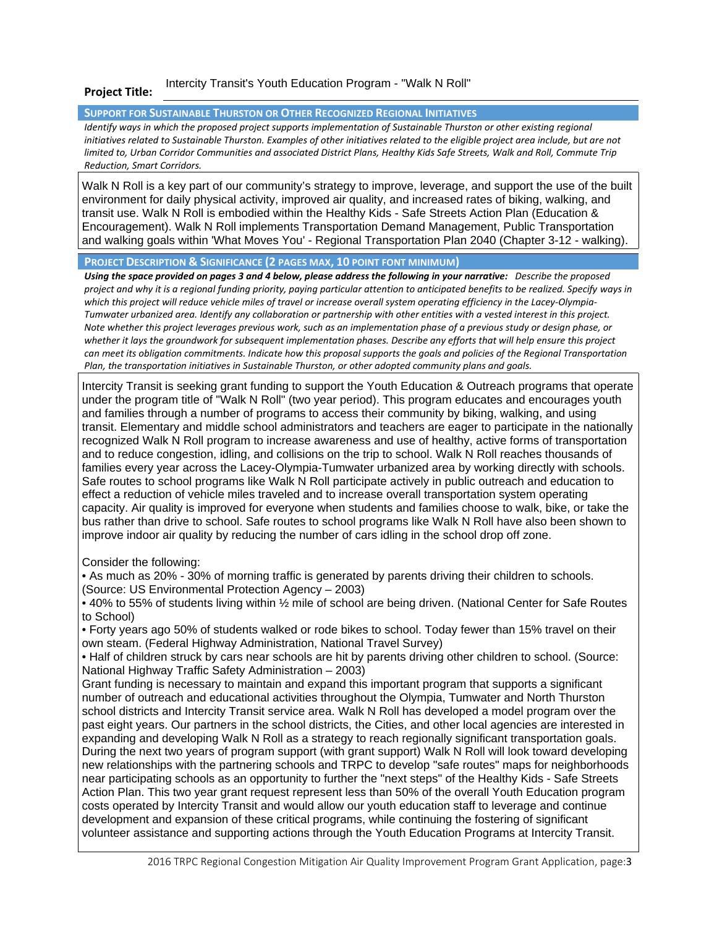#### **Project Title:**  Intercity Transit's Youth Education Program - "Walk N Roll"

#### **SUPPORT FOR SUSTAINABLE THURSTON OR OTHER RECOGNIZED REGIONAL INITIATIVES**

*Identify ways in which the proposed project supports implementation of Sustainable Thurston or other existing regional* initiatives related to Sustainable Thurston. Examples of other initiatives related to the eligible project area include, but are not *limited to, Urban Corridor Communities and associated District Plans, Healthy Kids Safe Streets, Walk and Roll, Commute Trip Reduction, Smart Corridors.* 

Walk N Roll is a key part of our community's strategy to improve, leverage, and support the use of the built environment for daily physical activity, improved air quality, and increased rates of biking, walking, and transit use. Walk N Roll is embodied within the Healthy Kids - Safe Streets Action Plan (Education & Encouragement). Walk N Roll implements Transportation Demand Management, Public Transportation and walking goals within 'What Moves You' - Regional Transportation Plan 2040 (Chapter 3-12 - walking).

**PROJECT DESCRIPTION & SIGNIFICANCE (2 PAGES MAX, 10 POINT FONT MINIMUM)** 

*Using the space provided on pages 3 and 4 below, please address the following in your narrative: Describe the proposed project and why it is a regional funding priority, paying particular attention to anticipated benefits to be realized. Specify ways in which this project will reduce vehicle miles of travel or increase overall system operating efficiency in the Lacey-Olympia-Tumwater urbanized area. Identify any collaboration or partnership with other entities with a vested interest in this project. Note whether this project leverages previous work, such as an implementation phase of a previous study or design phase, or whether it lays the groundwork for subsequent implementation phases. Describe any efforts that will help ensure this project can meet its obligation commitments. Indicate how this proposal supports the goals and policies of the Regional Transportation Plan, the transportation initiatives in Sustainable Thurston, or other adopted community plans and goals.*

Intercity Transit is seeking grant funding to support the Youth Education & Outreach programs that operate under the program title of "Walk N Roll" (two year period). This program educates and encourages youth and families through a number of programs to access their community by biking, walking, and using transit. Elementary and middle school administrators and teachers are eager to participate in the nationally recognized Walk N Roll program to increase awareness and use of healthy, active forms of transportation and to reduce congestion, idling, and collisions on the trip to school. Walk N Roll reaches thousands of families every year across the Lacey-Olympia-Tumwater urbanized area by working directly with schools. Safe routes to school programs like Walk N Roll participate actively in public outreach and education to effect a reduction of vehicle miles traveled and to increase overall transportation system operating capacity. Air quality is improved for everyone when students and families choose to walk, bike, or take the bus rather than drive to school. Safe routes to school programs like Walk N Roll have also been shown to improve indoor air quality by reducing the number of cars idling in the school drop off zone.

Consider the following:

• As much as 20% - 30% of morning traffic is generated by parents driving their children to schools. (Source: US Environmental Protection Agency – 2003)

• 40% to 55% of students living within ½ mile of school are being driven. (National Center for Safe Routes to School)

• Forty years ago 50% of students walked or rode bikes to school. Today fewer than 15% travel on their own steam. (Federal Highway Administration, National Travel Survey)

• Half of children struck by cars near schools are hit by parents driving other children to school. (Source: National Highway Traffic Safety Administration – 2003)

Grant funding is necessary to maintain and expand this important program that supports a significant number of outreach and educational activities throughout the Olympia, Tumwater and North Thurston school districts and Intercity Transit service area. Walk N Roll has developed a model program over the past eight years. Our partners in the school districts, the Cities, and other local agencies are interested in expanding and developing Walk N Roll as a strategy to reach regionally significant transportation goals. During the next two years of program support (with grant support) Walk N Roll will look toward developing new relationships with the partnering schools and TRPC to develop "safe routes" maps for neighborhoods near participating schools as an opportunity to further the "next steps" of the Healthy Kids - Safe Streets Action Plan. This two year grant request represent less than 50% of the overall Youth Education program costs operated by Intercity Transit and would allow our youth education staff to leverage and continue development and expansion of these critical programs, while continuing the fostering of significant volunteer assistance and supporting actions through the Youth Education Programs at Intercity Transit.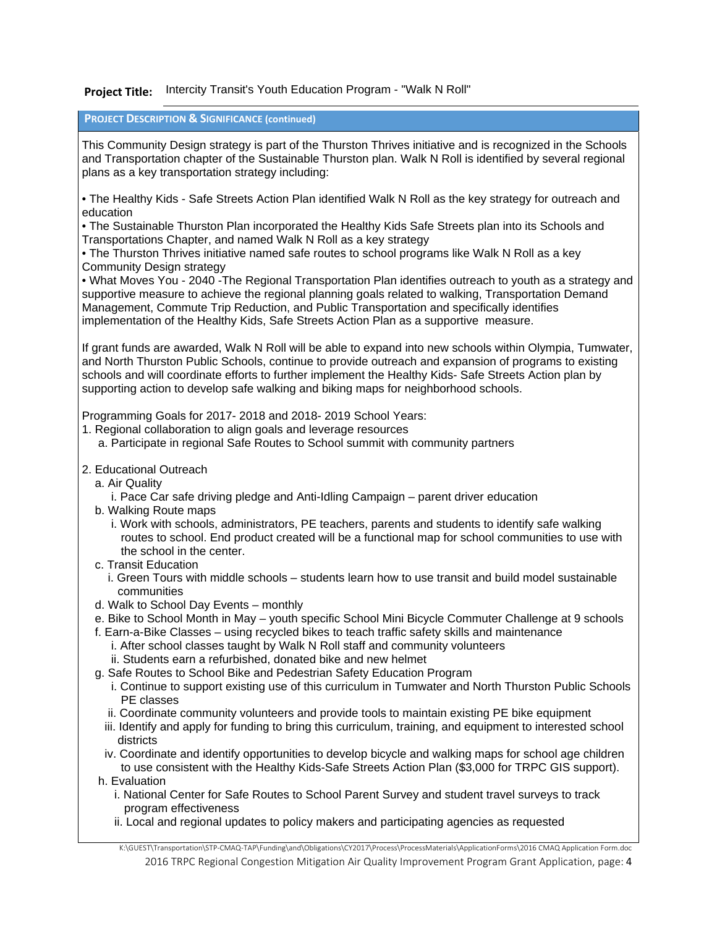### Project Title: Intercity Transit's Youth Education Program - "Walk N Roll"

### **PROJECT DESCRIPTION & SIGNIFICANCE (continued)**

This Community Design strategy is part of the Thurston Thrives initiative and is recognized in the Schools and Transportation chapter of the Sustainable Thurston plan. Walk N Roll is identified by several regional plans as a key transportation strategy including:

• The Healthy Kids - Safe Streets Action Plan identified Walk N Roll as the key strategy for outreach and education

• The Sustainable Thurston Plan incorporated the Healthy Kids Safe Streets plan into its Schools and Transportations Chapter, and named Walk N Roll as a key strategy

• The Thurston Thrives initiative named safe routes to school programs like Walk N Roll as a key Community Design strategy

• What Moves You - 2040 -The Regional Transportation Plan identifies outreach to youth as a strategy and supportive measure to achieve the regional planning goals related to walking, Transportation Demand Management, Commute Trip Reduction, and Public Transportation and specifically identifies implementation of the Healthy Kids, Safe Streets Action Plan as a supportive measure.

If grant funds are awarded, Walk N Roll will be able to expand into new schools within Olympia, Tumwater, and North Thurston Public Schools, continue to provide outreach and expansion of programs to existing schools and will coordinate efforts to further implement the Healthy Kids- Safe Streets Action plan by supporting action to develop safe walking and biking maps for neighborhood schools.

Programming Goals for 2017- 2018 and 2018- 2019 School Years:

- 1. Regional collaboration to align goals and leverage resources
	- a. Participate in regional Safe Routes to School summit with community partners
- 2. Educational Outreach
	- a. Air Quality
		- i. Pace Car safe driving pledge and Anti-Idling Campaign parent driver education
	- b. Walking Route maps
		- i. Work with schools, administrators, PE teachers, parents and students to identify safe walking routes to school. End product created will be a functional map for school communities to use with the school in the center.
	- c. Transit Education
		- i. Green Tours with middle schools students learn how to use transit and build model sustainable communities
	- d. Walk to School Day Events monthly
	- e. Bike to School Month in May youth specific School Mini Bicycle Commuter Challenge at 9 schools
	- f. Earn-a-Bike Classes using recycled bikes to teach traffic safety skills and maintenance
		- i. After school classes taught by Walk N Roll staff and community volunteers ii. Students earn a refurbished, donated bike and new helmet
	- g. Safe Routes to School Bike and Pedestrian Safety Education Program
		- i. Continue to support existing use of this curriculum in Tumwater and North Thurston Public Schools PE classes
		- ii. Coordinate community volunteers and provide tools to maintain existing PE bike equipment
		- iii. Identify and apply for funding to bring this curriculum, training, and equipment to interested school districts
		- iv. Coordinate and identify opportunities to develop bicycle and walking maps for school age children to use consistent with the Healthy Kids-Safe Streets Action Plan (\$3,000 for TRPC GIS support).
	- h. Evaluation
		- i. National Center for Safe Routes to School Parent Survey and student travel surveys to track program effectiveness
		- ii. Local and regional updates to policy makers and participating agencies as requested

2016 TRPC Regional Congestion Mitigation Air Quality Improvement Program Grant Application, page: 4 K:\GUEST\Transportation\STP-CMAQ-TAP\Funding\and\Obligations\CY2017\Process\ProcessMaterials\ApplicationForms\2016 CMAQ Application Form.doc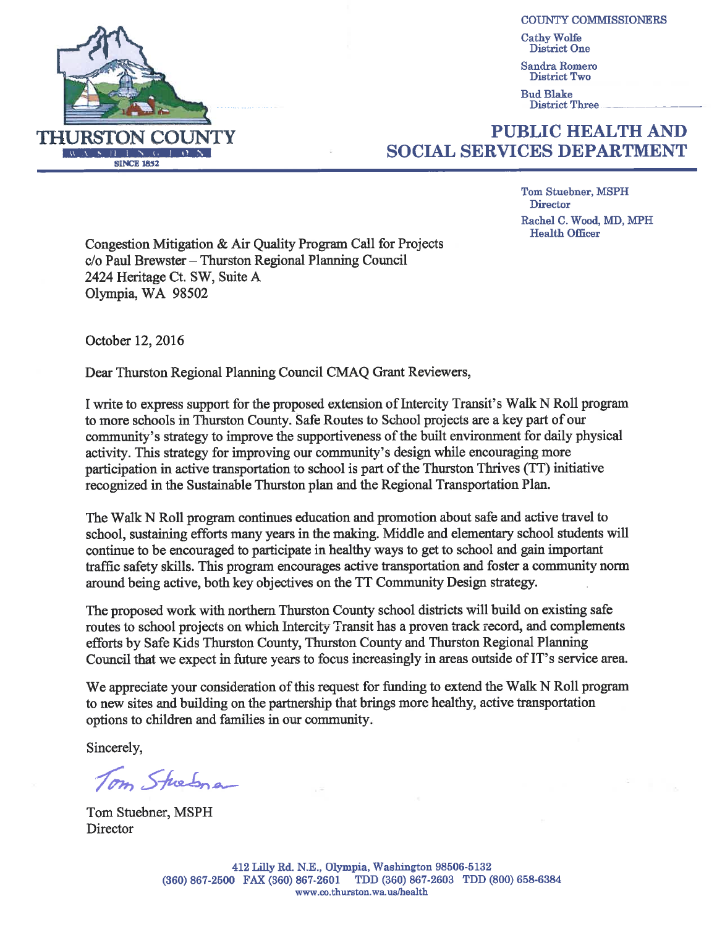

**COUNTY COMMISSIONERS** 

**Cathy Wolfe** District One

**Sandra Romero** District Two

**Bud Blake District Three** 

## **PUBLIC HEALTH AND SOCIAL SERVICES DEPARTMENT**

**Tom Stuebner, MSPH** Director Rachel C. Wood, MD, MPH

**Health Officer** 

Congestion Mitigation & Air Quality Program Call for Projects c/o Paul Brewster – Thurston Regional Planning Council 2424 Heritage Ct. SW, Suite A Olympia, WA 98502

October 12, 2016

Dear Thurston Regional Planning Council CMAQ Grant Reviewers,

I write to express support for the proposed extension of Intercity Transit's Walk N Roll program to more schools in Thurston County. Safe Routes to School projects are a key part of our community's strategy to improve the supportiveness of the built environment for daily physical activity. This strategy for improving our community's design while encouraging more participation in active transportation to school is part of the Thurston Thrives (TT) initiative recognized in the Sustainable Thurston plan and the Regional Transportation Plan.

The Walk N Roll program continues education and promotion about safe and active travel to school, sustaining efforts many years in the making. Middle and elementary school students will continue to be encouraged to participate in healthy ways to get to school and gain important traffic safety skills. This program encourages active transportation and foster a community norm around being active, both key objectives on the TT Community Design strategy.

The proposed work with northern Thurston County school districts will build on existing safe routes to school projects on which Intercity Transit has a proven track record, and complements efforts by Safe Kids Thurston County, Thurston County and Thurston Regional Planning Council that we expect in future years to focus increasingly in areas outside of IT's service area.

We appreciate your consideration of this request for funding to extend the Walk N Roll program to new sites and building on the partnership that brings more healthy, active transportation options to children and families in our community.

Sincerely,

Tom Stresna

Tom Stuebner, MSPH Director

412 Lilly Rd. N.E., Olympia, Washington 98506-5132 (360) 867-2500 FAX (360) 867-2601 TDD (360) 867-2603 TDD (800) 658-6384 www.co.thurston.wa.us/health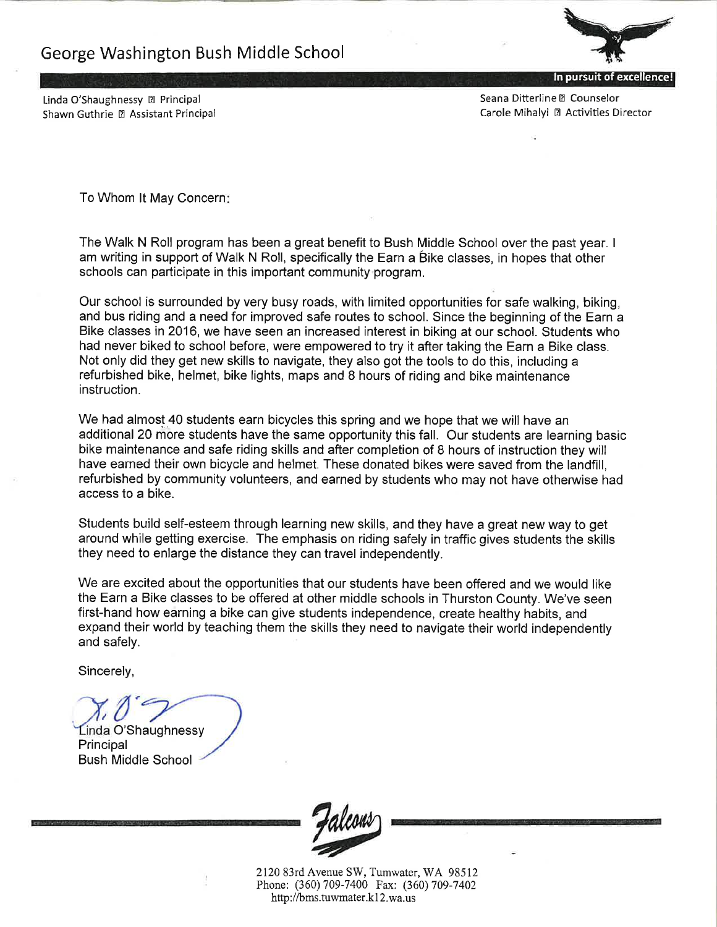

In pursuit of excellence!

Seana Ditterline <sup>2</sup> Counselor Carole Mihalyi 2 Activities Director

Linda O'Shaughnessy <sup>[2]</sup> Principal Shawn Guthrie 2 Assistant Principal

To Whom It May Concern:

The Walk N Roll program has been a great benefit to Bush Middle School over the past year. I am writing in support of Walk N Roll, specifically the Earn a Bike classes, in hopes that other schools can participate in this important community program.

Our school is surrounded by very busy roads, with limited opportunities for safe walking, biking, and bus riding and a need for improved safe routes to school. Since the beginning of the Earn a Bike classes in 2016, we have seen an increased interest in biking at our school. Students who had never biked to school before, were empowered to try it after taking the Earn a Bike class. Not only did they get new skills to navigate, they also got the tools to do this, including a refurbished bike, helmet, bike lights, maps and 8 hours of riding and bike maintenance instruction.

We had almost 40 students earn bicycles this spring and we hope that we will have an additional 20 more students have the same opportunity this fall. Our students are learning basic bike maintenance and safe riding skills and after completion of 8 hours of instruction they will have earned their own bicycle and helmet. These donated bikes were saved from the landfill. refurbished by community volunteers, and earned by students who may not have otherwise had access to a bike.

Students build self-esteem through learning new skills, and they have a great new way to get around while getting exercise. The emphasis on riding safely in traffic gives students the skills they need to enlarge the distance they can travel independently.

We are excited about the opportunities that our students have been offered and we would like the Earn a Bike classes to be offered at other middle schools in Thurston County. We've seen first-hand how earning a bike can give students independence, create healthy habits, and expand their world by teaching them the skills they need to navigate their world independently and safely.

Sincerely,

Linda O'Shaughnessy Principal **Bush Middle School** 



2120 83rd Avenue SW, Tumwater, WA 98512 Phone: (360) 709-7400 Fax: (360) 709-7402 http://bms.tuwmater.k12.wa.us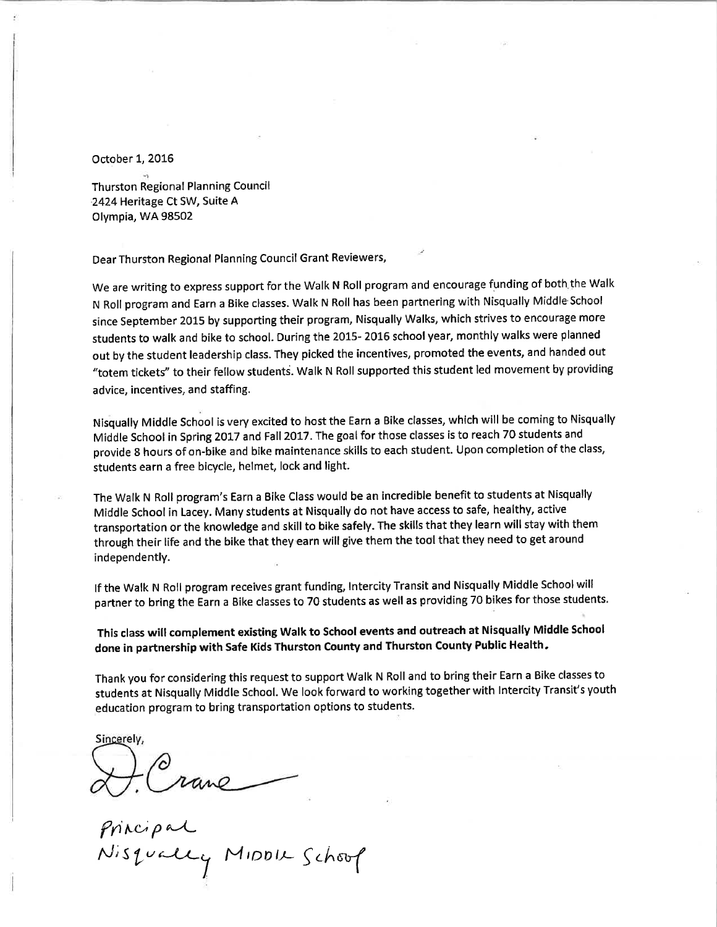October 1, 2016

Thurston Regional Planning Council 2424 Heritage Ct SW, Suite A Olympia, WA 98502

Dear Thurston Regional Planning Council Grant Reviewers,

We are writing to express support for the Walk N Roll program and encourage funding of both the Walk N Roll program and Earn a Bike classes. Walk N Roll has been partnering with Nisqually Middle School since September 2015 by supporting their program, Nisqually Walks, which strives to encourage more students to walk and bike to school. During the 2015-2016 school year, monthly walks were planned out by the student leadership class. They picked the incentives, promoted the events, and handed out "totem tickets" to their fellow students. Walk N Roll supported this student led movement by providing advice, incentives, and staffing.

Nisqually Middle School is very excited to host the Earn a Bike classes, which will be coming to Nisqually Middle School in Spring 2017 and Fall 2017. The goal for those classes is to reach 70 students and provide 8 hours of on-bike and bike maintenance skills to each student. Upon completion of the class, students earn a free bicycle, helmet, lock and light.

The Walk N Roll program's Earn a Bike Class would be an incredible benefit to students at Nisqually Middle School in Lacey. Many students at Nisqually do not have access to safe, healthy, active transportation or the knowledge and skill to bike safely. The skills that they learn will stay with them through their life and the bike that they earn will give them the tool that they need to get around independently.

If the Walk N Roll program receives grant funding, Intercity Transit and Nisqually Middle School will partner to bring the Earn a Bike classes to 70 students as well as providing 70 bikes for those students.

This class will complement existing Walk to School events and outreach at Nisqually Middle School done in partnership with Safe Kids Thurston County and Thurston County Public Health.

Thank you for considering this request to support Walk N Roll and to bring their Earn a Bike classes to students at Nisqually Middle School. We look forward to working together with Intercity Transit's youth education program to bring transportation options to students.

Sincerely,

Principal<br>Nisqually MIDDU Schoop